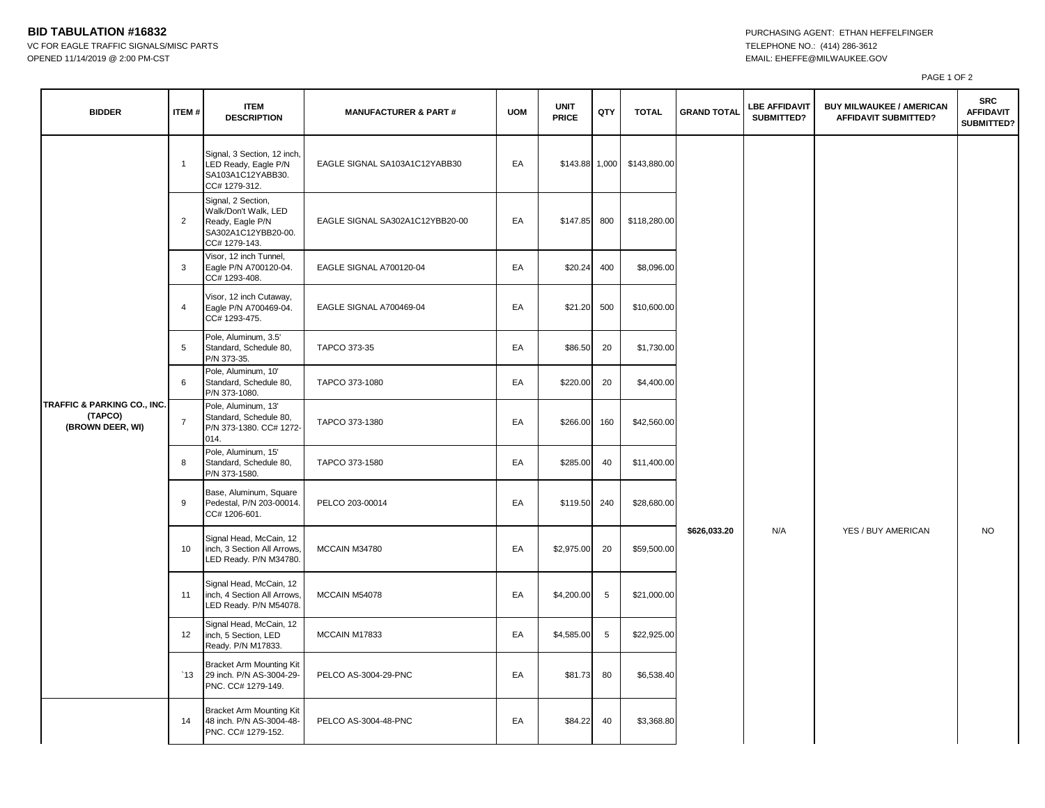## **BID TABULATION #16832 PURCHASING AGENT: ETHAN HEFFELFINGER**

VC FOR EAGLE TRAFFIC SIGNALS/MISC PARTS TELEPHONE NO.: (414) 286-3612 OPENED 11/14/2019 @ 2:00 PM-CST EMAIL: EHEFFE@MILWAUKEE.GOV

PAGE 1 OF 2

| <b>BIDDER</b>                                              | <b>ITEM#</b>   | <b>ITEM</b><br><b>DESCRIPTION</b>                                                                      | <b>MANUFACTURER &amp; PART#</b> | <b>UOM</b> | <b>UNIT</b><br><b>PRICE</b> | QTY | <b>TOTAL</b> | <b>GRAND TOTAL</b> | <b>LBE AFFIDAVIT</b><br>SUBMITTED? | <b>BUY MILWAUKEE / AMERICAN</b><br><b>AFFIDAVIT SUBMITTED?</b> | <b>SRC</b><br><b>AFFIDAVIT</b><br>SUBMITTED? |
|------------------------------------------------------------|----------------|--------------------------------------------------------------------------------------------------------|---------------------------------|------------|-----------------------------|-----|--------------|--------------------|------------------------------------|----------------------------------------------------------------|----------------------------------------------|
| TRAFFIC & PARKING CO., INC.<br>(TAPCO)<br>(BROWN DEER, WI) | $\mathbf{1}$   | Signal, 3 Section, 12 inch<br>LED Ready, Eagle P/N<br>SA103A1C12YABB30.<br>CC# 1279-312.               | EAGLE SIGNAL SA103A1C12YABB30   | EA         | \$143.88 1,000              |     | \$143,880.00 |                    |                                    |                                                                |                                              |
|                                                            | $\overline{2}$ | Signal, 2 Section,<br>Walk/Don't Walk, LED<br>Ready, Eagle P/N<br>SA302A1C12YBB20-00.<br>CC# 1279-143. | EAGLE SIGNAL SA302A1C12YBB20-00 | EA         | \$147.85                    | 800 | \$118,280.00 |                    |                                    |                                                                |                                              |
|                                                            | 3              | Visor, 12 inch Tunnel,<br>Eagle P/N A700120-04.<br>CC# 1293-408.                                       | EAGLE SIGNAL A700120-04         | EA         | \$20.24                     | 400 | \$8,096.00   |                    |                                    |                                                                |                                              |
|                                                            | 4              | Visor, 12 inch Cutaway,<br>Eagle P/N A700469-04.<br>CC# 1293-475.                                      | EAGLE SIGNAL A700469-04         | EA         | \$21.20                     | 500 | \$10,600.00  |                    |                                    |                                                                |                                              |
|                                                            | 5              | Pole, Aluminum, 3.5'<br>Standard, Schedule 80,<br>P/N 373-35.                                          | TAPCO 373-35                    | EA         | \$86.50                     | 20  | \$1,730.00   |                    |                                    |                                                                |                                              |
|                                                            | 6              | Pole, Aluminum, 10'<br>Standard, Schedule 80,<br>P/N 373-1080.                                         | TAPCO 373-1080                  | EA         | \$220.00                    | 20  | \$4,400.00   |                    |                                    |                                                                |                                              |
|                                                            | $\overline{7}$ | Pole, Aluminum, 13'<br>Standard, Schedule 80,<br>P/N 373-1380. CC# 1272-<br>014.                       | TAPCO 373-1380                  | EA         | \$266.00                    | 160 | \$42,560.00  |                    |                                    |                                                                |                                              |
|                                                            | 8              | Pole, Aluminum, 15'<br>Standard, Schedule 80,<br>P/N 373-1580.                                         | TAPCO 373-1580                  | EA         | \$285.00                    | 40  | \$11,400.00  |                    |                                    |                                                                |                                              |
|                                                            | 9              | Base, Aluminum, Square<br>Pedestal, P/N 203-00014.<br>CC# 1206-601.                                    | PELCO 203-00014                 | EA         | \$119.50                    | 240 | \$28,680.00  |                    |                                    |                                                                |                                              |
|                                                            | 10             | Signal Head, McCain, 12<br>inch, 3 Section All Arrows,<br>LED Ready. P/N M34780.                       | MCCAIN M34780                   | EA         | \$2,975.00                  | 20  | \$59,500.00  | \$626,033.20       | N/A                                | YES / BUY AMERICAN                                             | <b>NO</b>                                    |
|                                                            | 11             | Signal Head, McCain, 12<br>inch, 4 Section All Arrows,<br>LED Ready. P/N M54078.                       | MCCAIN M54078                   | EA         | \$4,200.00                  | 5   | \$21,000.00  |                    |                                    |                                                                |                                              |
|                                                            | 12             | Signal Head, McCain, 12<br>inch, 5 Section, LED<br>Ready. P/N M17833.                                  | MCCAIN M17833                   | EA         | \$4,585.00                  | 5   | \$22,925.00  |                    |                                    |                                                                |                                              |
|                                                            | $^{\circ}13$   | <b>Bracket Arm Mounting Kit</b><br>29 inch. P/N AS-3004-29-<br>PNC. CC# 1279-149.                      | PELCO AS-3004-29-PNC            | EA         | \$81.73                     | 80  | \$6,538.40   |                    |                                    |                                                                |                                              |
|                                                            | 14             | Bracket Arm Mounting Kit<br>48 inch. P/N AS-3004-48-<br>PNC. CC# 1279-152.                             | PELCO AS-3004-48-PNC            | EA         | \$84.22                     | 40  | \$3,368.80   |                    |                                    |                                                                |                                              |